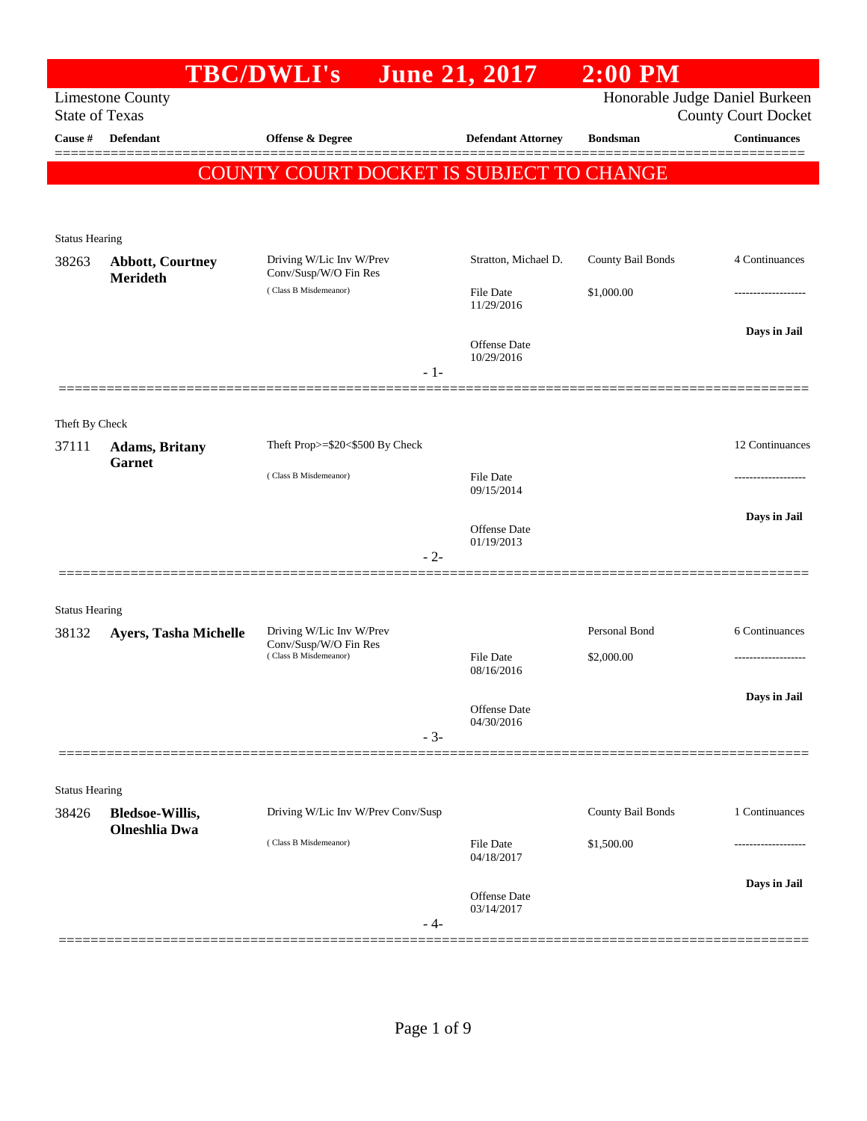|                         |                                                | <b>TBC/DWLI's</b>                                 | June 21, 2017                  | $2:00$ PM         |                                                              |
|-------------------------|------------------------------------------------|---------------------------------------------------|--------------------------------|-------------------|--------------------------------------------------------------|
| <b>State of Texas</b>   | <b>Limestone County</b>                        |                                                   |                                |                   | Honorable Judge Daniel Burkeen<br><b>County Court Docket</b> |
| Cause #                 | <b>Defendant</b>                               | Offense & Degree                                  | <b>Defendant Attorney</b>      | <b>Bondsman</b>   | <b>Continuances</b>                                          |
|                         |                                                | COUNTY COURT DOCKET IS SUBJECT TO CHANGE          |                                |                   |                                                              |
|                         |                                                |                                                   |                                |                   |                                                              |
| <b>Status Hearing</b>   |                                                |                                                   |                                |                   |                                                              |
| 38263                   | <b>Abbott, Courtney</b><br>Merideth            | Driving W/Lic Inv W/Prev<br>Conv/Susp/W/O Fin Res | Stratton, Michael D.           | County Bail Bonds | 4 Continuances                                               |
|                         |                                                | (Class B Misdemeanor)                             | <b>File Date</b><br>11/29/2016 | \$1,000.00        |                                                              |
|                         |                                                | $-1-$                                             | Offense Date<br>10/29/2016     |                   | Days in Jail                                                 |
|                         |                                                |                                                   |                                |                   |                                                              |
| Theft By Check<br>37111 |                                                | Theft Prop>=\$20<\$500 By Check                   |                                |                   | 12 Continuances                                              |
|                         | <b>Adams</b> , Britany<br><b>Garnet</b>        | (Class B Misdemeanor)                             | <b>File Date</b>               |                   |                                                              |
|                         |                                                |                                                   | 09/15/2014                     |                   |                                                              |
|                         |                                                |                                                   | Offense Date<br>01/19/2013     |                   | Days in Jail                                                 |
|                         |                                                | $-2-$                                             |                                |                   |                                                              |
| <b>Status Hearing</b>   |                                                |                                                   |                                |                   |                                                              |
| 38132                   | Ayers, Tasha Michelle                          | Driving W/Lic Inv W/Prev<br>Conv/Susp/W/O Fin Res |                                | Personal Bond     | 6 Continuances                                               |
|                         |                                                | (Class B Misdemeanor)                             | <b>File Date</b><br>08/16/2016 | \$2,000.00        |                                                              |
|                         |                                                |                                                   | Offense Date                   |                   | Days in Jail                                                 |
|                         |                                                | $-3-$                                             | 04/30/2016                     |                   |                                                              |
| <b>Status Hearing</b>   |                                                |                                                   |                                |                   |                                                              |
| 38426                   | <b>Bledsoe-Willis,</b><br><b>Olneshlia Dwa</b> | Driving W/Lic Inv W/Prev Conv/Susp                |                                | County Bail Bonds | 1 Continuances                                               |
|                         |                                                | (Class B Misdemeanor)                             | <b>File Date</b><br>04/18/2017 | \$1,500.00        |                                                              |
|                         |                                                | - 4-                                              | Offense Date<br>03/14/2017     |                   | Days in Jail                                                 |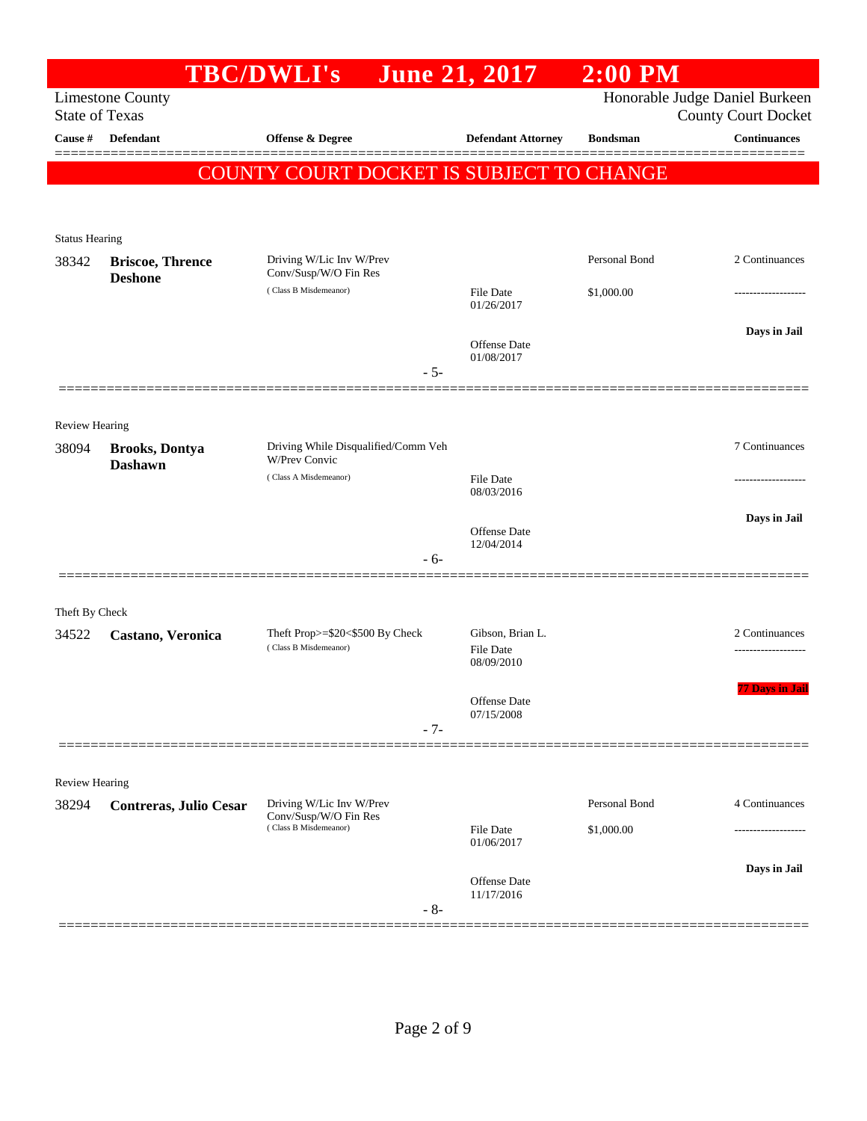|                       |                                                  | <b>TBC/DWLI's</b>                                           | <b>June 21, 2017</b>                 | $2:00$ PM       |                                                              |
|-----------------------|--------------------------------------------------|-------------------------------------------------------------|--------------------------------------|-----------------|--------------------------------------------------------------|
|                       | <b>Limestone County</b><br><b>State of Texas</b> |                                                             |                                      |                 | Honorable Judge Daniel Burkeen<br><b>County Court Docket</b> |
| Cause #               | <b>Defendant</b>                                 | <b>Offense &amp; Degree</b>                                 | <b>Defendant Attorney</b>            | <b>Bondsman</b> | <b>Continuances</b>                                          |
|                       |                                                  |                                                             |                                      |                 | ========                                                     |
|                       |                                                  | COUNTY COURT DOCKET IS SUBJECT TO CHANGE                    |                                      |                 |                                                              |
|                       |                                                  |                                                             |                                      |                 |                                                              |
| <b>Status Hearing</b> |                                                  |                                                             |                                      |                 |                                                              |
| 38342                 | <b>Briscoe, Thrence</b><br><b>Deshone</b>        | Driving W/Lic Inv W/Prev<br>Conv/Susp/W/O Fin Res           |                                      | Personal Bond   | 2 Continuances                                               |
|                       |                                                  | (Class B Misdemeanor)                                       | <b>File Date</b><br>01/26/2017       | \$1,000.00      |                                                              |
|                       |                                                  |                                                             |                                      |                 | Days in Jail                                                 |
|                       |                                                  |                                                             | Offense Date<br>01/08/2017           |                 |                                                              |
|                       |                                                  | $-5-$                                                       |                                      |                 |                                                              |
|                       |                                                  |                                                             |                                      |                 |                                                              |
| Review Hearing        |                                                  |                                                             |                                      |                 |                                                              |
| 38094                 | <b>Brooks, Dontya</b><br><b>Dashawn</b>          | Driving While Disqualified/Comm Veh<br><b>W/Prev Convic</b> |                                      |                 | 7 Continuances                                               |
|                       |                                                  | (Class A Misdemeanor)                                       | File Date<br>08/03/2016              |                 |                                                              |
|                       |                                                  |                                                             |                                      |                 | Days in Jail                                                 |
|                       |                                                  |                                                             | Offense Date<br>12/04/2014           |                 |                                                              |
|                       |                                                  | $-6-$                                                       |                                      |                 |                                                              |
|                       |                                                  |                                                             |                                      |                 |                                                              |
| Theft By Check        |                                                  |                                                             |                                      |                 |                                                              |
| 34522                 | Castano, Veronica                                | Theft Prop>=\$20<\$500 By Check<br>(Class B Misdemeanor)    | Gibson, Brian L.<br><b>File Date</b> |                 | 2 Continuances<br>                                           |
|                       |                                                  |                                                             | 08/09/2010                           |                 |                                                              |
|                       |                                                  |                                                             | Offense Date                         |                 | <b>77 Days in Jail</b>                                       |
|                       |                                                  | $-7-$                                                       | 07/15/2008                           |                 |                                                              |
|                       |                                                  |                                                             |                                      |                 |                                                              |
| Review Hearing        |                                                  |                                                             |                                      |                 |                                                              |
| 38294                 | <b>Contreras, Julio Cesar</b>                    | Driving W/Lic Inv W/Prev<br>Conv/Susp/W/O Fin Res           |                                      | Personal Bond   | 4 Continuances                                               |
|                       |                                                  | (Class B Misdemeanor)                                       | <b>File Date</b><br>01/06/2017       | \$1,000.00      |                                                              |
|                       |                                                  |                                                             |                                      |                 | Days in Jail                                                 |
|                       |                                                  |                                                             | <b>Offense</b> Date<br>11/17/2016    |                 |                                                              |
|                       |                                                  | $-8-$                                                       |                                      |                 |                                                              |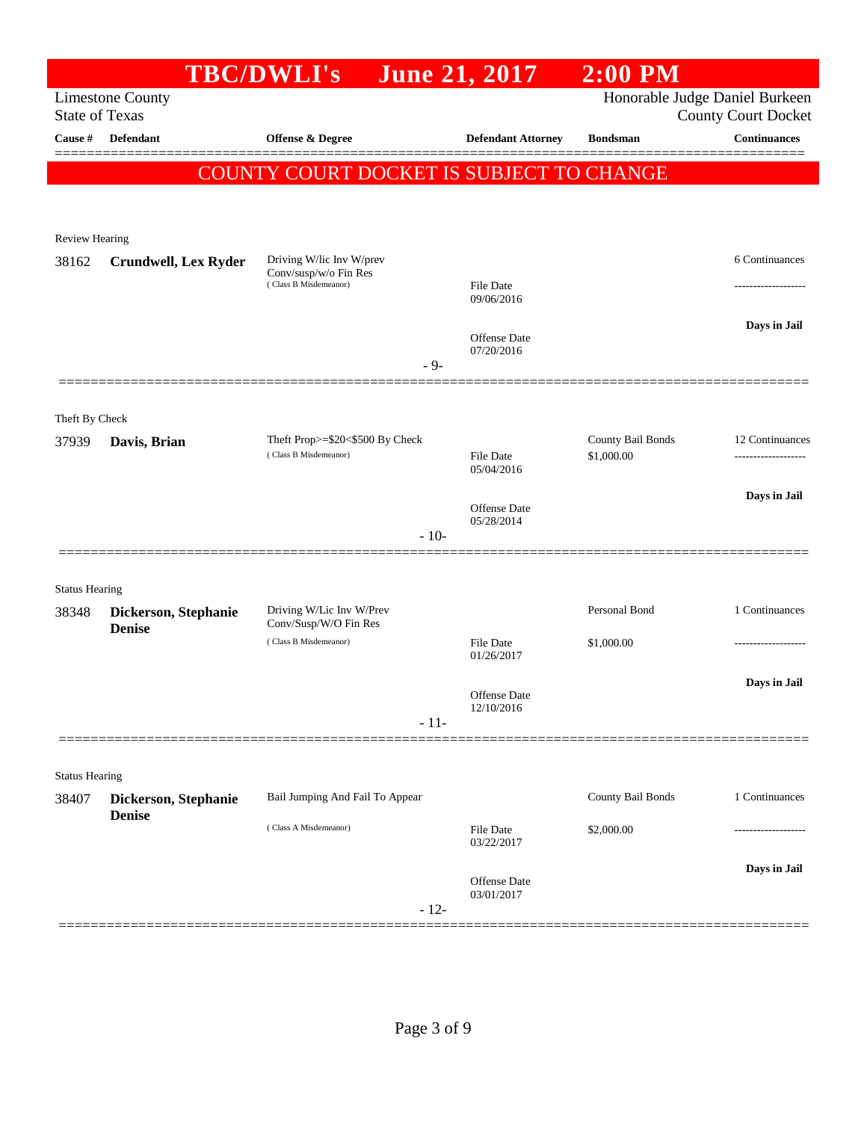|                       |                                       | <b>TBC/DWLI's</b>                                                          |        | June 21, 2017                  | $2:00$ PM                       |                                                              |
|-----------------------|---------------------------------------|----------------------------------------------------------------------------|--------|--------------------------------|---------------------------------|--------------------------------------------------------------|
| <b>State of Texas</b> | <b>Limestone County</b>               |                                                                            |        |                                |                                 | Honorable Judge Daniel Burkeen<br><b>County Court Docket</b> |
| Cause #               | Defendant                             | <b>Offense &amp; Degree</b>                                                |        | <b>Defendant Attorney</b>      | <b>Bondsman</b>                 | <b>Continuances</b>                                          |
|                       |                                       | COUNTY COURT DOCKET IS SUBJECT TO CHANGE                                   |        |                                |                                 |                                                              |
|                       |                                       |                                                                            |        |                                |                                 |                                                              |
| <b>Review Hearing</b> |                                       |                                                                            |        |                                |                                 |                                                              |
| 38162                 | <b>Crundwell, Lex Ryder</b>           | Driving W/lic Inv W/prev<br>Conv/susp/w/o Fin Res<br>(Class B Misdemeanor) |        | <b>File Date</b><br>09/06/2016 |                                 | 6 Continuances                                               |
|                       |                                       |                                                                            | $-9-$  | Offense Date<br>07/20/2016     |                                 | Days in Jail                                                 |
| Theft By Check        |                                       |                                                                            |        |                                |                                 |                                                              |
| 37939                 | Davis, Brian                          | Theft Prop>=\$20<\$500 By Check<br>(Class B Misdemeanor)                   |        | <b>File Date</b><br>05/04/2016 | County Bail Bonds<br>\$1,000.00 | 12 Continuances                                              |
|                       |                                       |                                                                            |        | Offense Date<br>05/28/2014     |                                 | Days in Jail                                                 |
|                       |                                       |                                                                            | $-10-$ |                                |                                 |                                                              |
| <b>Status Hearing</b> |                                       |                                                                            |        |                                |                                 |                                                              |
| 38348                 | Dickerson, Stephanie<br><b>Denise</b> | Driving W/Lic Inv W/Prev<br>Conv/Susp/W/O Fin Res                          |        |                                | Personal Bond                   | 1 Continuances                                               |
|                       |                                       | (Class B Misdemeanor)                                                      |        | File Date<br>01/26/2017        | \$1,000.00                      |                                                              |
|                       |                                       |                                                                            | $-11-$ | Offense Date<br>12/10/2016     |                                 | Days in Jail                                                 |
|                       |                                       |                                                                            |        |                                |                                 |                                                              |
| <b>Status Hearing</b> |                                       |                                                                            |        |                                |                                 |                                                              |
| 38407                 | Dickerson, Stephanie                  | Bail Jumping And Fail To Appear                                            |        |                                | County Bail Bonds               | 1 Continuances                                               |
|                       | <b>Denise</b>                         | (Class A Misdemeanor)                                                      |        | File Date<br>03/22/2017        | \$2,000.00                      |                                                              |
|                       |                                       |                                                                            | $-12-$ | Offense Date<br>03/01/2017     |                                 | Days in Jail                                                 |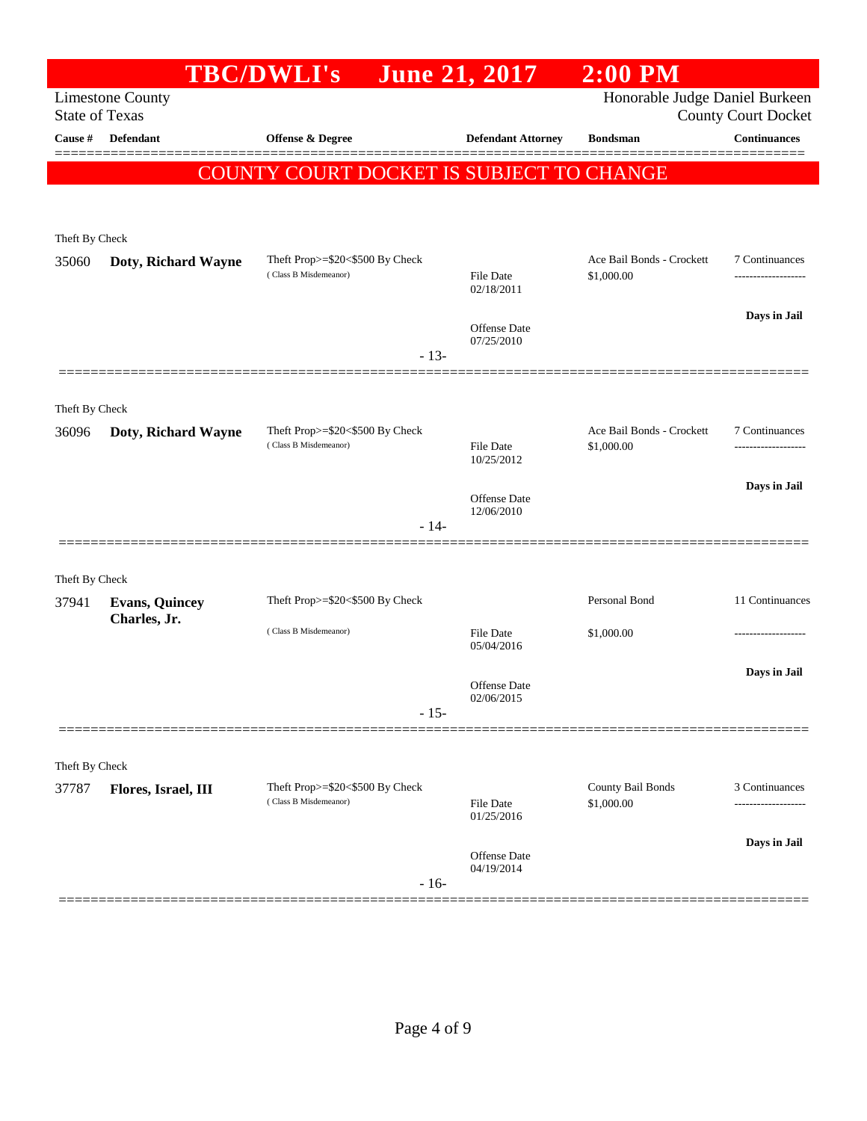|                         |                         | <b>TBC/DWLI's</b>                                        | <b>June 21, 2017</b>              | $2:00$ PM                               |                            |
|-------------------------|-------------------------|----------------------------------------------------------|-----------------------------------|-----------------------------------------|----------------------------|
| <b>State of Texas</b>   | <b>Limestone County</b> |                                                          |                                   | Honorable Judge Daniel Burkeen          | <b>County Court Docket</b> |
| Cause #                 | <b>Defendant</b>        | Offense & Degree                                         | <b>Defendant Attorney</b>         | <b>Bondsman</b>                         | <b>Continuances</b>        |
|                         |                         |                                                          |                                   |                                         |                            |
|                         |                         | <b>COUNTY COURT DOCKET IS SUBJECT TO CHANGE</b>          |                                   |                                         |                            |
|                         |                         |                                                          |                                   |                                         |                            |
| Theft By Check          |                         |                                                          |                                   |                                         |                            |
| 35060                   | Doty, Richard Wayne     | Theft Prop>=\$20<\$500 By Check<br>(Class B Misdemeanor) | <b>File Date</b>                  | Ace Bail Bonds - Crockett<br>\$1,000.00 | 7 Continuances             |
|                         |                         |                                                          | 02/18/2011                        |                                         |                            |
|                         |                         |                                                          | Offense Date                      |                                         | Days in Jail               |
|                         |                         | $-13-$                                                   | 07/25/2010                        |                                         |                            |
|                         |                         |                                                          |                                   |                                         |                            |
| Theft By Check          |                         |                                                          |                                   |                                         |                            |
| 36096                   | Doty, Richard Wayne     | Theft Prop>=\$20<\$500 By Check                          |                                   | Ace Bail Bonds - Crockett               | 7 Continuances             |
|                         |                         | (Class B Misdemeanor)                                    | <b>File Date</b><br>10/25/2012    | \$1,000.00                              | .                          |
|                         |                         |                                                          |                                   |                                         | Days in Jail               |
|                         |                         |                                                          | <b>Offense Date</b><br>12/06/2010 |                                         |                            |
|                         |                         | $-14-$                                                   |                                   |                                         |                            |
|                         |                         |                                                          |                                   |                                         |                            |
| Theft By Check<br>37941 | <b>Evans, Quincey</b>   | Theft Prop>=\$20<\$500 By Check                          |                                   | Personal Bond                           | 11 Continuances            |
|                         | Charles, Jr.            |                                                          |                                   |                                         |                            |
|                         |                         | (Class B Misdemeanor)                                    | <b>File Date</b><br>05/04/2016    | \$1,000.00                              |                            |
|                         |                         |                                                          |                                   |                                         | Days in Jail               |
|                         |                         |                                                          | <b>Offense Date</b><br>02/06/2015 |                                         |                            |
|                         |                         | $-15-$                                                   |                                   |                                         |                            |
|                         |                         |                                                          |                                   |                                         |                            |
| Theft By Check<br>37787 | Flores, Israel, III     | Theft Prop>=\$20<\$500 By Check                          |                                   | County Bail Bonds                       | 3 Continuances             |
|                         |                         | (Class B Misdemeanor)                                    | <b>File Date</b><br>01/25/2016    | \$1,000.00                              |                            |
|                         |                         |                                                          |                                   |                                         | Days in Jail               |
|                         |                         |                                                          | Offense Date<br>04/19/2014        |                                         |                            |
|                         |                         | $-16-$                                                   |                                   |                                         |                            |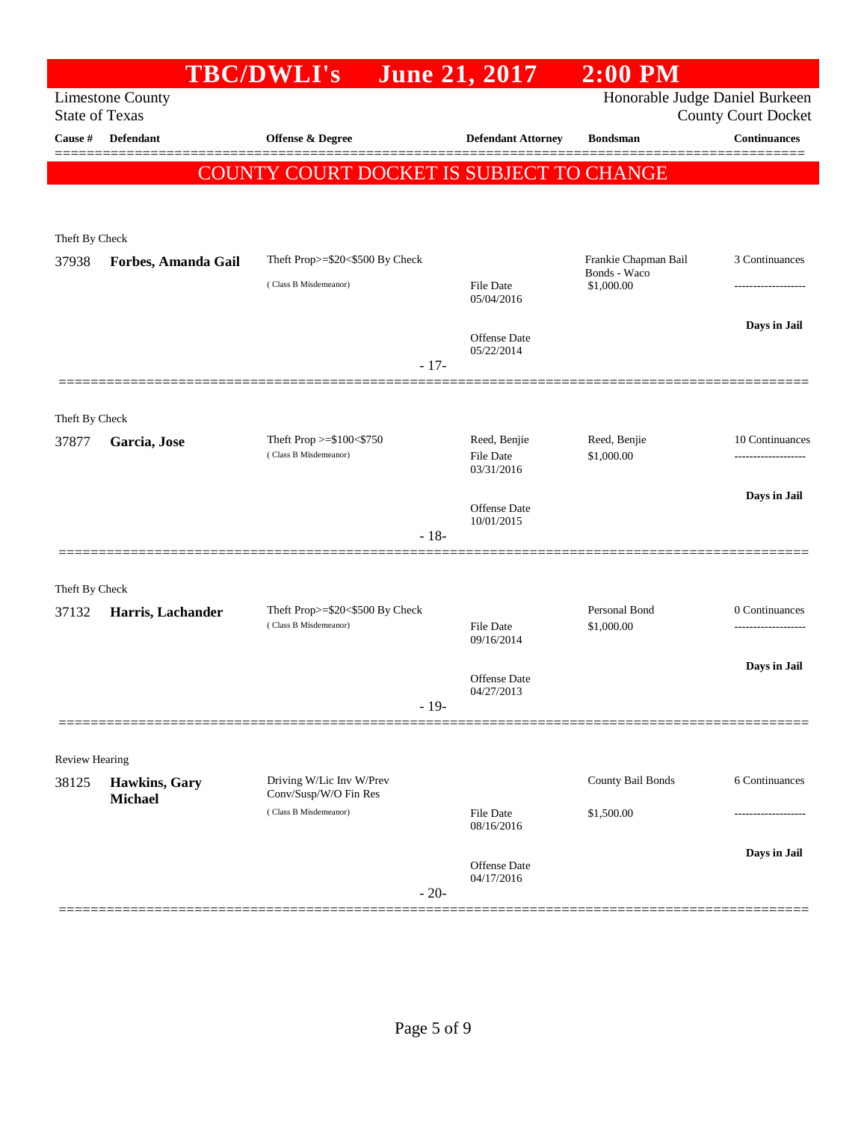|                       |                         | <b>TBC/DWLI's</b>                                        | June 21, 2017                  | $2:00$ PM                      |                                                   |
|-----------------------|-------------------------|----------------------------------------------------------|--------------------------------|--------------------------------|---------------------------------------------------|
| <b>State of Texas</b> | <b>Limestone County</b> |                                                          |                                | Honorable Judge Daniel Burkeen |                                                   |
| <b>Cause</b> #        | <b>Defendant</b>        | Offense & Degree                                         | <b>Defendant Attorney</b>      | <b>Bondsman</b>                | <b>County Court Docket</b><br><b>Continuances</b> |
|                       |                         |                                                          |                                |                                |                                                   |
|                       |                         | COUNTY COURT DOCKET IS SUBJECT TO CHANGE                 |                                |                                |                                                   |
|                       |                         |                                                          |                                |                                |                                                   |
| Theft By Check        |                         |                                                          |                                |                                |                                                   |
| 37938                 | Forbes, Amanda Gail     | Theft Prop>=\$20<\$500 By Check                          |                                | Frankie Chapman Bail           | 3 Continuances                                    |
|                       |                         | (Class B Misdemeanor)                                    | <b>File Date</b>               | Bonds - Waco<br>\$1,000.00     |                                                   |
|                       |                         |                                                          | 05/04/2016                     |                                |                                                   |
|                       |                         |                                                          | Offense Date                   |                                | Days in Jail                                      |
|                       |                         | $-17-$                                                   | 05/22/2014                     |                                |                                                   |
|                       |                         |                                                          |                                |                                |                                                   |
| Theft By Check        |                         |                                                          |                                |                                |                                                   |
| 37877                 | Garcia, Jose            | Theft Prop $>=\$100<\$750$                               | Reed, Benjie                   | Reed, Benjie                   | 10 Continuances                                   |
|                       |                         | (Class B Misdemeanor)                                    | <b>File Date</b><br>03/31/2016 | \$1,000.00                     |                                                   |
|                       |                         |                                                          |                                |                                | Days in Jail                                      |
|                       |                         |                                                          | Offense Date<br>10/01/2015     |                                |                                                   |
|                       |                         | $-18-$                                                   |                                |                                |                                                   |
|                       |                         |                                                          |                                |                                |                                                   |
| Theft By Check        |                         |                                                          |                                |                                |                                                   |
| 37132                 | Harris, Lachander       | Theft Prop>=\$20<\$500 By Check<br>(Class B Misdemeanor) | <b>File Date</b>               | Personal Bond<br>\$1,000.00    | 0 Continuances<br>-------------------             |
|                       |                         |                                                          | 09/16/2014                     |                                |                                                   |
|                       |                         |                                                          | <b>Offense</b> Date            |                                | Days in Jail                                      |
|                       |                         | $-19-$                                                   | 04/27/2013                     |                                |                                                   |
|                       |                         |                                                          |                                |                                |                                                   |
| <b>Review Hearing</b> |                         |                                                          |                                |                                |                                                   |
| 38125                 | Hawkins, Gary           | Driving W/Lic Inv W/Prev                                 |                                | County Bail Bonds              | 6 Continuances                                    |
|                       | <b>Michael</b>          | Conv/Susp/W/O Fin Res<br>(Class B Misdemeanor)           | File Date                      |                                |                                                   |
|                       |                         |                                                          | 08/16/2016                     | \$1,500.00                     |                                                   |
|                       |                         |                                                          |                                |                                | Days in Jail                                      |
|                       |                         |                                                          | Offense Date<br>04/17/2016     |                                |                                                   |
|                       |                         | $-20-$                                                   |                                |                                |                                                   |
|                       |                         |                                                          |                                |                                |                                                   |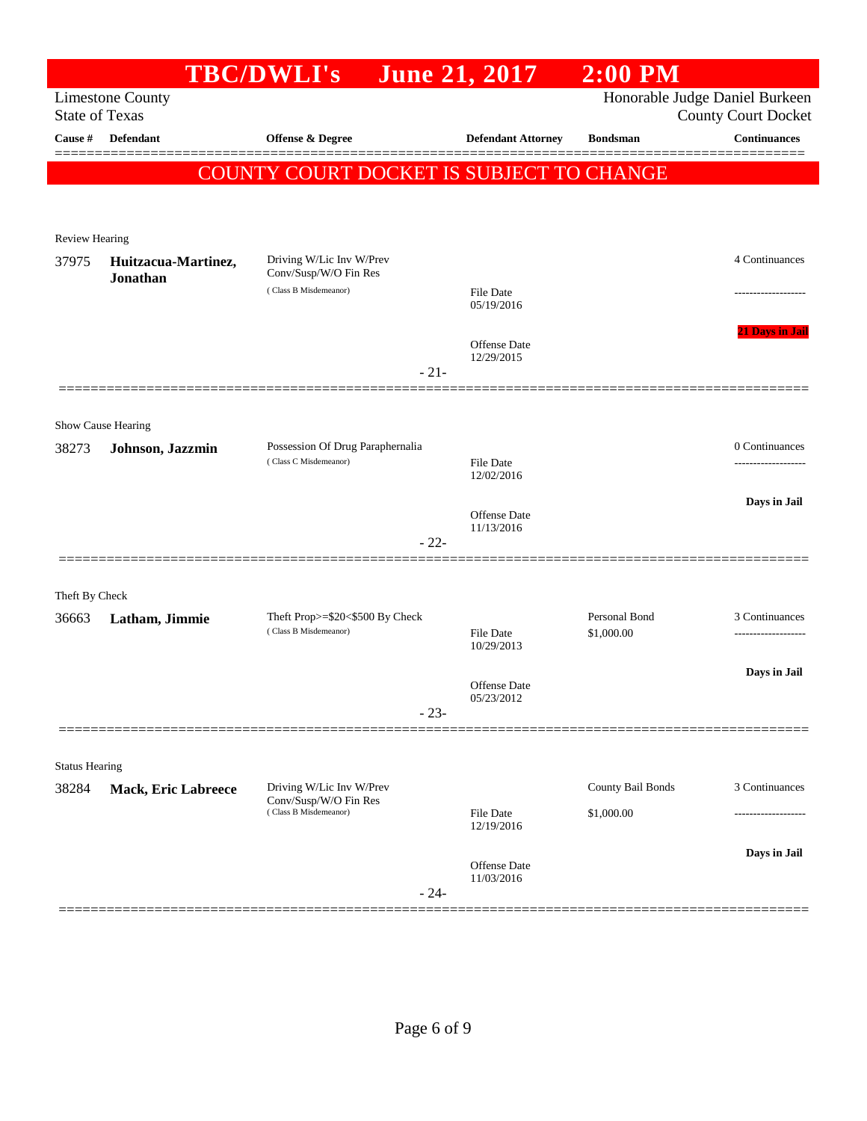|                       |                                        | <b>TBC/DWLI's</b>                                                          | June 21, 2017                     | $2:00$ PM         |                                                   |
|-----------------------|----------------------------------------|----------------------------------------------------------------------------|-----------------------------------|-------------------|---------------------------------------------------|
| <b>State of Texas</b> | <b>Limestone County</b>                |                                                                            |                                   |                   | Honorable Judge Daniel Burkeen                    |
| Cause #               | Defendant                              | Offense & Degree                                                           | <b>Defendant Attorney</b>         | <b>Bondsman</b>   | <b>County Court Docket</b><br><b>Continuances</b> |
|                       |                                        |                                                                            |                                   |                   | =======                                           |
|                       |                                        | COUNTY COURT DOCKET IS SUBJECT TO CHANGE                                   |                                   |                   |                                                   |
|                       |                                        |                                                                            |                                   |                   |                                                   |
| Review Hearing        |                                        |                                                                            |                                   |                   |                                                   |
| 37975                 | Huitzacua-Martinez,                    | Driving W/Lic Inv W/Prev                                                   |                                   |                   | 4 Continuances                                    |
|                       | Jonathan                               | Conv/Susp/W/O Fin Res<br>(Class B Misdemeanor)                             | File Date                         |                   |                                                   |
|                       |                                        |                                                                            | 05/19/2016                        |                   |                                                   |
|                       |                                        |                                                                            | Offense Date                      |                   | <b>21 Days in Jail</b>                            |
|                       |                                        | $-21-$                                                                     | 12/29/2015                        |                   |                                                   |
|                       |                                        |                                                                            |                                   |                   |                                                   |
|                       |                                        |                                                                            |                                   |                   |                                                   |
| 38273                 | Show Cause Hearing<br>Johnson, Jazzmin | Possession Of Drug Paraphernalia                                           |                                   |                   | 0 Continuances                                    |
|                       |                                        | (Class C Misdemeanor)                                                      | File Date<br>12/02/2016           |                   |                                                   |
|                       |                                        |                                                                            |                                   |                   | Days in Jail                                      |
|                       |                                        |                                                                            | <b>Offense</b> Date<br>11/13/2016 |                   |                                                   |
|                       |                                        | $-22-$                                                                     |                                   |                   |                                                   |
|                       |                                        |                                                                            |                                   |                   |                                                   |
| Theft By Check        |                                        |                                                                            |                                   |                   |                                                   |
| 36663                 | Latham, Jimmie                         | Theft Prop>=\$20<\$500 By Check<br>(Class B Misdemeanor)                   |                                   | Personal Bond     | 3 Continuances                                    |
|                       |                                        |                                                                            | File Date<br>10/29/2013           | \$1,000.00        |                                                   |
|                       |                                        |                                                                            |                                   |                   | Days in Jail                                      |
|                       |                                        |                                                                            | Offense Date<br>05/23/2012        |                   |                                                   |
|                       |                                        | $-23-$                                                                     |                                   |                   |                                                   |
|                       |                                        |                                                                            |                                   |                   |                                                   |
| <b>Status Hearing</b> |                                        |                                                                            |                                   | County Bail Bonds | 3 Continuances                                    |
| 38284                 | <b>Mack, Eric Labreece</b>             | Driving W/Lic Inv W/Prev<br>Conv/Susp/W/O Fin Res<br>(Class B Misdemeanor) |                                   |                   |                                                   |
|                       |                                        |                                                                            | <b>File Date</b><br>12/19/2016    | \$1,000.00        |                                                   |
|                       |                                        |                                                                            |                                   |                   | Days in Jail                                      |
|                       |                                        |                                                                            | Offense Date<br>11/03/2016        |                   |                                                   |
|                       |                                        | $-24-$                                                                     |                                   |                   |                                                   |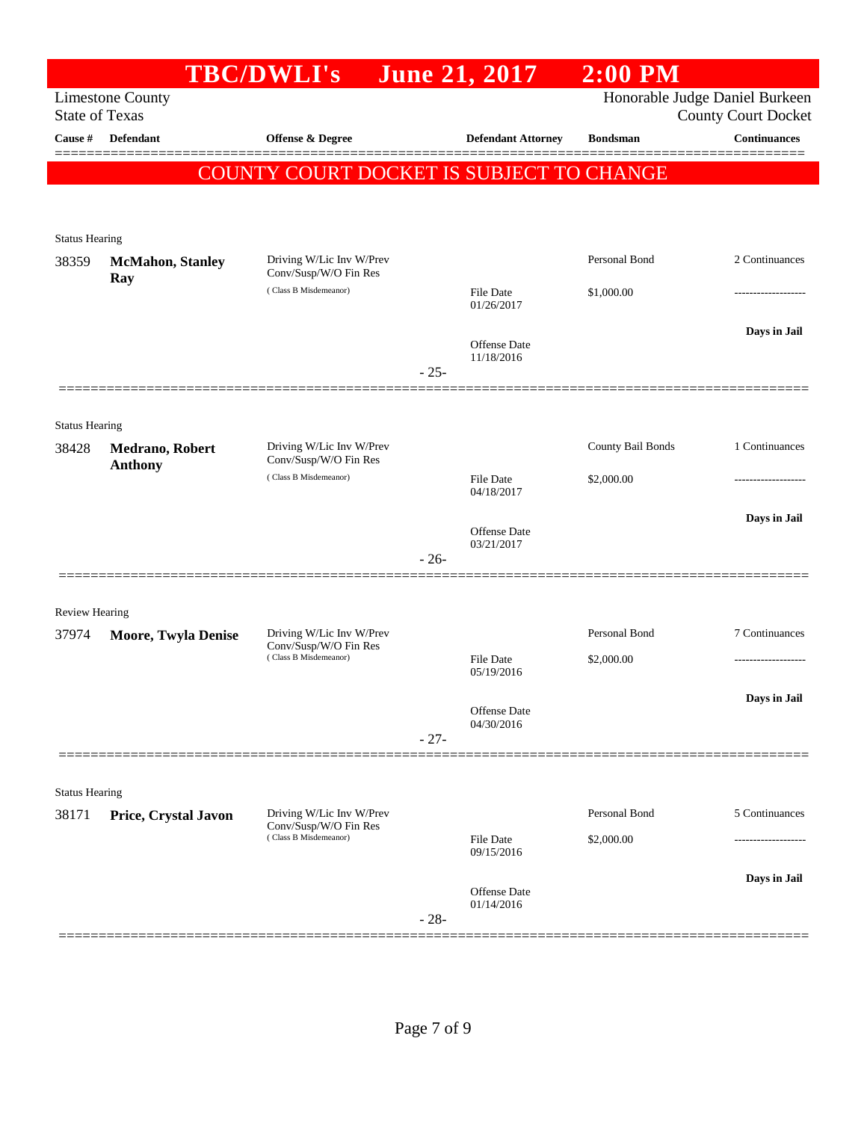|                                  |                                   | <b>TBC/DWLI's</b>                                                          |        | <b>June 21, 2017</b>       | $2:00$ PM         |                                                   |
|----------------------------------|-----------------------------------|----------------------------------------------------------------------------|--------|----------------------------|-------------------|---------------------------------------------------|
|                                  | <b>Limestone County</b>           |                                                                            |        |                            |                   | Honorable Judge Daniel Burkeen                    |
| <b>State of Texas</b><br>Cause # | <b>Defendant</b>                  | <b>Offense &amp; Degree</b>                                                |        | <b>Defendant Attorney</b>  | <b>Bondsman</b>   | <b>County Court Docket</b><br><b>Continuances</b> |
|                                  |                                   |                                                                            |        |                            |                   |                                                   |
|                                  |                                   | COUNTY COURT DOCKET IS SUBJECT TO CHANGE                                   |        |                            |                   |                                                   |
|                                  |                                   |                                                                            |        |                            |                   |                                                   |
| <b>Status Hearing</b>            |                                   |                                                                            |        |                            |                   |                                                   |
| 38359                            | <b>McMahon</b> , Stanley<br>Ray   | Driving W/Lic Inv W/Prev<br>Conv/Susp/W/O Fin Res                          |        |                            | Personal Bond     | 2 Continuances                                    |
|                                  |                                   | (Class B Misdemeanor)                                                      |        | File Date<br>01/26/2017    | \$1,000.00        |                                                   |
|                                  |                                   |                                                                            |        |                            |                   | Days in Jail                                      |
|                                  |                                   |                                                                            |        | Offense Date<br>11/18/2016 |                   |                                                   |
|                                  |                                   |                                                                            | $-25-$ |                            |                   |                                                   |
|                                  |                                   |                                                                            |        |                            |                   |                                                   |
| <b>Status Hearing</b>            |                                   |                                                                            |        |                            |                   |                                                   |
| 38428                            | Medrano, Robert<br><b>Anthony</b> | Driving W/Lic Inv W/Prev<br>Conv/Susp/W/O Fin Res                          |        |                            | County Bail Bonds | 1 Continuances                                    |
|                                  |                                   | (Class B Misdemeanor)                                                      |        | File Date<br>04/18/2017    | \$2,000.00        |                                                   |
|                                  |                                   |                                                                            |        |                            |                   | Days in Jail                                      |
|                                  |                                   |                                                                            |        | Offense Date<br>03/21/2017 |                   |                                                   |
|                                  |                                   |                                                                            | $-26-$ |                            |                   |                                                   |
|                                  |                                   |                                                                            |        |                            |                   |                                                   |
| <b>Review Hearing</b>            |                                   |                                                                            |        |                            | Personal Bond     | 7 Continuances                                    |
| 37974                            | Moore, Twyla Denise               | Driving W/Lic Inv W/Prev<br>Conv/Susp/W/O Fin Res<br>(Class B Misdemeanor) |        | File Date                  | \$2,000.00        |                                                   |
|                                  |                                   |                                                                            |        | 05/19/2016                 |                   |                                                   |
|                                  |                                   |                                                                            |        | Offense Date               |                   | Days in Jail                                      |
|                                  |                                   |                                                                            | $-27-$ | 04/30/2016                 |                   |                                                   |
|                                  |                                   |                                                                            |        |                            |                   |                                                   |
| <b>Status Hearing</b>            |                                   |                                                                            |        |                            |                   |                                                   |
| 38171                            | Price, Crystal Javon              | Driving W/Lic Inv W/Prev                                                   |        |                            | Personal Bond     | 5 Continuances                                    |
|                                  |                                   | Conv/Susp/W/O Fin Res<br>(Class B Misdemeanor)                             |        | <b>File Date</b>           | \$2,000.00        |                                                   |
|                                  |                                   |                                                                            |        | 09/15/2016                 |                   |                                                   |
|                                  |                                   |                                                                            |        | Offense Date               |                   | Days in Jail                                      |
|                                  |                                   |                                                                            | $-28-$ | 01/14/2016                 |                   |                                                   |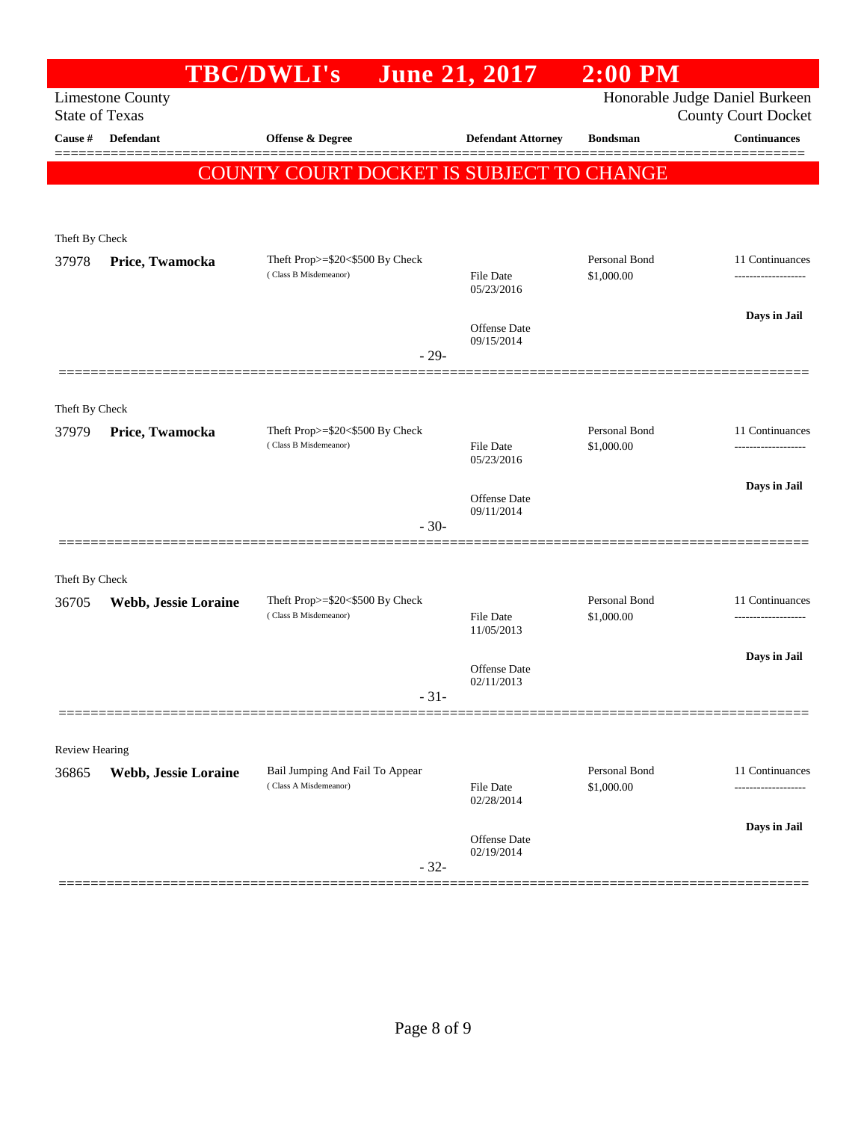| Honorable Judge Daniel Burkeen<br><b>Limestone County</b><br><b>State of Texas</b><br><b>County Court Docket</b><br><b>Continuances</b><br>Cause #<br>Defendant<br>Offense & Degree<br><b>Defendant Attorney</b><br><b>Bondsman</b><br>COUNTY COURT DOCKET IS SUBJECT TO CHANGE<br>Theft By Check<br>Personal Bond<br>Theft Prop>=\$20<\$500 By Check<br>11 Continuances<br>37978<br>Price, Twamocka<br>(Class B Misdemeanor)<br>\$1,000.00<br><b>File Date</b><br>05/23/2016<br>Days in Jail<br><b>Offense Date</b><br>09/15/2014<br>$-29-$<br>Theft By Check<br>Personal Bond<br>Theft Prop>=\$20<\$500 By Check<br>11 Continuances<br>Price, Twamocka<br>37979<br>(Class B Misdemeanor)<br>\$1,000.00<br>File Date<br>-------------------<br>05/23/2016<br>Days in Jail<br><b>Offense Date</b><br>09/11/2014<br>$-30-$<br>Theft By Check<br>Personal Bond<br>Theft Prop>=\$20<\$500 By Check<br>11 Continuances<br>36705<br>Webb, Jessie Loraine<br>(Class B Misdemeanor)<br><b>File Date</b><br>\$1,000.00<br>-------------------<br>11/05/2013<br>Days in Jail<br>Offense Date<br>02/11/2013<br>$31 -$<br>Review Hearing<br>Personal Bond<br>Bail Jumping And Fail To Appear<br>11 Continuances<br>Webb, Jessie Loraine<br>36865<br>(Class A Misdemeanor)<br><b>File Date</b><br>\$1,000.00<br>02/28/2014<br>Days in Jail<br>Offense Date<br>02/19/2014<br>$-32-$ |  | <b>TBC/DWLI's</b> | <b>June 21, 2017</b> | $2:00$ PM |  |
|------------------------------------------------------------------------------------------------------------------------------------------------------------------------------------------------------------------------------------------------------------------------------------------------------------------------------------------------------------------------------------------------------------------------------------------------------------------------------------------------------------------------------------------------------------------------------------------------------------------------------------------------------------------------------------------------------------------------------------------------------------------------------------------------------------------------------------------------------------------------------------------------------------------------------------------------------------------------------------------------------------------------------------------------------------------------------------------------------------------------------------------------------------------------------------------------------------------------------------------------------------------------------------------------------------------------------------------------------------------------|--|-------------------|----------------------|-----------|--|
|                                                                                                                                                                                                                                                                                                                                                                                                                                                                                                                                                                                                                                                                                                                                                                                                                                                                                                                                                                                                                                                                                                                                                                                                                                                                                                                                                                        |  |                   |                      |           |  |
|                                                                                                                                                                                                                                                                                                                                                                                                                                                                                                                                                                                                                                                                                                                                                                                                                                                                                                                                                                                                                                                                                                                                                                                                                                                                                                                                                                        |  |                   |                      |           |  |
|                                                                                                                                                                                                                                                                                                                                                                                                                                                                                                                                                                                                                                                                                                                                                                                                                                                                                                                                                                                                                                                                                                                                                                                                                                                                                                                                                                        |  |                   |                      |           |  |
|                                                                                                                                                                                                                                                                                                                                                                                                                                                                                                                                                                                                                                                                                                                                                                                                                                                                                                                                                                                                                                                                                                                                                                                                                                                                                                                                                                        |  |                   |                      |           |  |
|                                                                                                                                                                                                                                                                                                                                                                                                                                                                                                                                                                                                                                                                                                                                                                                                                                                                                                                                                                                                                                                                                                                                                                                                                                                                                                                                                                        |  |                   |                      |           |  |
|                                                                                                                                                                                                                                                                                                                                                                                                                                                                                                                                                                                                                                                                                                                                                                                                                                                                                                                                                                                                                                                                                                                                                                                                                                                                                                                                                                        |  |                   |                      |           |  |
|                                                                                                                                                                                                                                                                                                                                                                                                                                                                                                                                                                                                                                                                                                                                                                                                                                                                                                                                                                                                                                                                                                                                                                                                                                                                                                                                                                        |  |                   |                      |           |  |
|                                                                                                                                                                                                                                                                                                                                                                                                                                                                                                                                                                                                                                                                                                                                                                                                                                                                                                                                                                                                                                                                                                                                                                                                                                                                                                                                                                        |  |                   |                      |           |  |
|                                                                                                                                                                                                                                                                                                                                                                                                                                                                                                                                                                                                                                                                                                                                                                                                                                                                                                                                                                                                                                                                                                                                                                                                                                                                                                                                                                        |  |                   |                      |           |  |
|                                                                                                                                                                                                                                                                                                                                                                                                                                                                                                                                                                                                                                                                                                                                                                                                                                                                                                                                                                                                                                                                                                                                                                                                                                                                                                                                                                        |  |                   |                      |           |  |
|                                                                                                                                                                                                                                                                                                                                                                                                                                                                                                                                                                                                                                                                                                                                                                                                                                                                                                                                                                                                                                                                                                                                                                                                                                                                                                                                                                        |  |                   |                      |           |  |
|                                                                                                                                                                                                                                                                                                                                                                                                                                                                                                                                                                                                                                                                                                                                                                                                                                                                                                                                                                                                                                                                                                                                                                                                                                                                                                                                                                        |  |                   |                      |           |  |
|                                                                                                                                                                                                                                                                                                                                                                                                                                                                                                                                                                                                                                                                                                                                                                                                                                                                                                                                                                                                                                                                                                                                                                                                                                                                                                                                                                        |  |                   |                      |           |  |
|                                                                                                                                                                                                                                                                                                                                                                                                                                                                                                                                                                                                                                                                                                                                                                                                                                                                                                                                                                                                                                                                                                                                                                                                                                                                                                                                                                        |  |                   |                      |           |  |
|                                                                                                                                                                                                                                                                                                                                                                                                                                                                                                                                                                                                                                                                                                                                                                                                                                                                                                                                                                                                                                                                                                                                                                                                                                                                                                                                                                        |  |                   |                      |           |  |
|                                                                                                                                                                                                                                                                                                                                                                                                                                                                                                                                                                                                                                                                                                                                                                                                                                                                                                                                                                                                                                                                                                                                                                                                                                                                                                                                                                        |  |                   |                      |           |  |
|                                                                                                                                                                                                                                                                                                                                                                                                                                                                                                                                                                                                                                                                                                                                                                                                                                                                                                                                                                                                                                                                                                                                                                                                                                                                                                                                                                        |  |                   |                      |           |  |
|                                                                                                                                                                                                                                                                                                                                                                                                                                                                                                                                                                                                                                                                                                                                                                                                                                                                                                                                                                                                                                                                                                                                                                                                                                                                                                                                                                        |  |                   |                      |           |  |
|                                                                                                                                                                                                                                                                                                                                                                                                                                                                                                                                                                                                                                                                                                                                                                                                                                                                                                                                                                                                                                                                                                                                                                                                                                                                                                                                                                        |  |                   |                      |           |  |
|                                                                                                                                                                                                                                                                                                                                                                                                                                                                                                                                                                                                                                                                                                                                                                                                                                                                                                                                                                                                                                                                                                                                                                                                                                                                                                                                                                        |  |                   |                      |           |  |
|                                                                                                                                                                                                                                                                                                                                                                                                                                                                                                                                                                                                                                                                                                                                                                                                                                                                                                                                                                                                                                                                                                                                                                                                                                                                                                                                                                        |  |                   |                      |           |  |
|                                                                                                                                                                                                                                                                                                                                                                                                                                                                                                                                                                                                                                                                                                                                                                                                                                                                                                                                                                                                                                                                                                                                                                                                                                                                                                                                                                        |  |                   |                      |           |  |
|                                                                                                                                                                                                                                                                                                                                                                                                                                                                                                                                                                                                                                                                                                                                                                                                                                                                                                                                                                                                                                                                                                                                                                                                                                                                                                                                                                        |  |                   |                      |           |  |
|                                                                                                                                                                                                                                                                                                                                                                                                                                                                                                                                                                                                                                                                                                                                                                                                                                                                                                                                                                                                                                                                                                                                                                                                                                                                                                                                                                        |  |                   |                      |           |  |
|                                                                                                                                                                                                                                                                                                                                                                                                                                                                                                                                                                                                                                                                                                                                                                                                                                                                                                                                                                                                                                                                                                                                                                                                                                                                                                                                                                        |  |                   |                      |           |  |
|                                                                                                                                                                                                                                                                                                                                                                                                                                                                                                                                                                                                                                                                                                                                                                                                                                                                                                                                                                                                                                                                                                                                                                                                                                                                                                                                                                        |  |                   |                      |           |  |
|                                                                                                                                                                                                                                                                                                                                                                                                                                                                                                                                                                                                                                                                                                                                                                                                                                                                                                                                                                                                                                                                                                                                                                                                                                                                                                                                                                        |  |                   |                      |           |  |